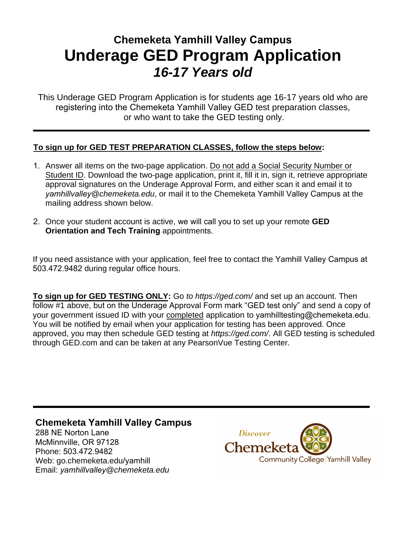## **Chemeketa Yamhill Valley Campus Underage GED Program Application**  *16-17 Years old*

This Underage GED Program Application is for students age 16-17 years old who are registering into the Chemeketa Yamhill Valley GED test preparation classes, or who want to take the GED testing only.

## **To sign up for GED TEST PREPARATION CLASSES, follow the steps below:**

- 1. Answer all items on the two-page application. Do not add a Social Security Number or Student ID. Download the two-page application, print it, fill it in, sign it, retrieve appropriate approval signatures on the Underage Approval Form, and either scan it and email it to *yamhillvalley@chemeketa.edu*, or mail it to the Chemeketa Yamhill Valley Campus at the mailing address shown below.
- 2. Once your student account is active, we will call you to set up your remote **GED Orientation and Tech Training** appointments.

If you need assistance with your application, feel free to contact the Yamhill Valley Campus at 503.472.9482 during regular office hours.

**To sign up for GED TESTING ONLY:** Go *to https://ged.com/* and set up an account. Then follow #1 above, but on the Underage Approval Form mark "GED test only" and send a copy of your government issued ID with your completed application to yamhilltesting@chemeketa.edu. You will be notified by email when your application for testing has been approved. Once approved, you may then schedule GED testing at *https://ged.com/*. All GED testing is scheduled through GED.com and can be taken at any PearsonVue Testing Center.

## **Chemeketa Yamhill Valley Campus**

288 NE Norton Lane McMinnville, OR 97128 Phone: 503.472.9482 Web: go.chemeketa.edu/yamhill Email: *yamhillvalley@chemeketa.edu*

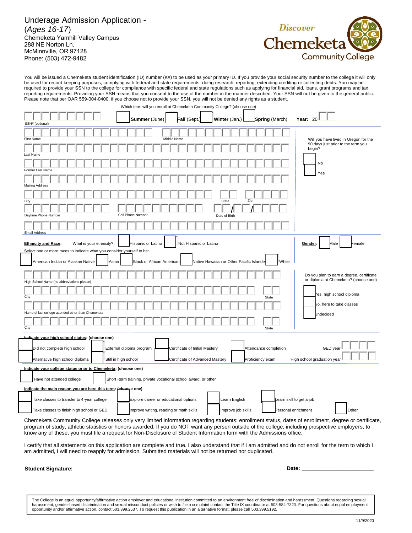Underage Admission Application - (*Ages 16-17*) Chemeketa Yamhill Valley Campus 288 NE Norton Ln. McMinnville, OR 97128 Phone: (503) 472-9482



You will be issued a Chemeketa student identification (ID) number (K#) to be used as your primary ID. If you provide your social security number to the college it will only be used for record keeping purposes, complying with federal and state requirements, doing research, reporting, extending crediting or collecting debts. You may be required to provide your SSN to the college for compliance with specific federal and state regulations such as applying for financial aid, loans, grant programs and tax reporting requirements. Providing your SSN means that you consent to the use of the number in the manner described. Your SSN will not be given to the general public. Please note that per OAR 559-004-0400, if you choose not to provide your SSN, you will not be denied any rights as a student.

| Which term will you enroll at Chemeketa Community College? (choose one)                                                          |                                                                                                                                                      |                                                                                    |
|----------------------------------------------------------------------------------------------------------------------------------|------------------------------------------------------------------------------------------------------------------------------------------------------|------------------------------------------------------------------------------------|
| SSN# (optional)                                                                                                                  | Summer (June)<br>Fall (Sept.)<br>Winter (Jan.)<br><b>Spring</b> (March)                                                                              | Year: 20                                                                           |
|                                                                                                                                  |                                                                                                                                                      |                                                                                    |
| <b>First Name</b>                                                                                                                | Middle Name                                                                                                                                          | Will you have lived in Oregon for the                                              |
| Last Name                                                                                                                        |                                                                                                                                                      | 90 days just prior to the term you<br>begin?                                       |
|                                                                                                                                  |                                                                                                                                                      | No                                                                                 |
| Former Last Name                                                                                                                 |                                                                                                                                                      | Yes                                                                                |
| <b>Mailing Address</b>                                                                                                           |                                                                                                                                                      |                                                                                    |
|                                                                                                                                  |                                                                                                                                                      |                                                                                    |
| City                                                                                                                             | Zip<br><b>State</b>                                                                                                                                  |                                                                                    |
| Daytime Phone Number                                                                                                             | Cell Phone Number<br>Date of Birth                                                                                                                   |                                                                                    |
| <b>Email Address</b>                                                                                                             |                                                                                                                                                      |                                                                                    |
|                                                                                                                                  |                                                                                                                                                      |                                                                                    |
| <b>Ethnicity and Race:</b><br>What is your ethnicity?<br>Select one or more races to indicate what you consider yourself to be:  | Hispanic or Latino<br>Not Hispanic or Latino                                                                                                         | Gender:<br>Male<br>Female                                                          |
|                                                                                                                                  |                                                                                                                                                      |                                                                                    |
| American Indian or Alaskan Native<br>Asian                                                                                       | Native Hawaiian or Other Pacific Islande<br>White<br><b>Black or African American</b>                                                                |                                                                                    |
|                                                                                                                                  |                                                                                                                                                      | Do you plan to earn a degree, certificate<br>or diploma at Chemeketa? (choose one) |
| High School Name (no abbreviations please)                                                                                       |                                                                                                                                                      |                                                                                    |
| City                                                                                                                             | State                                                                                                                                                | Yes, high school diploma                                                           |
| last college attended other than Chemeketa<br>Name of                                                                            |                                                                                                                                                      | No, here to take classes                                                           |
|                                                                                                                                  |                                                                                                                                                      | <b>Jndecided</b>                                                                   |
| City                                                                                                                             | State                                                                                                                                                |                                                                                    |
| Indicate your high school status: (choose one)                                                                                   |                                                                                                                                                      |                                                                                    |
| Did not complete high school                                                                                                     | External diploma program<br>Certificate of Initial Mastery<br>Attendance completion                                                                  | GED year                                                                           |
| Still in high school<br>Alternative high school diploma                                                                          | Certificate of Advanced Mastery<br>Proficiency exam                                                                                                  | High school graduation year                                                        |
| Indicate your college status prior to Chemeketa: (choose one)                                                                    |                                                                                                                                                      |                                                                                    |
| Have not attended college                                                                                                        |                                                                                                                                                      |                                                                                    |
| Short -term training, private vocational school award, or other<br>Indicate the main reason you are here this term: (choose one) |                                                                                                                                                      |                                                                                    |
| Take classes to transfer to 4-year college                                                                                       | Learn English<br>earn skill to get a job<br>Explore career or educational options                                                                    |                                                                                    |
|                                                                                                                                  |                                                                                                                                                      |                                                                                    |
| Take classes to finish high school or GED                                                                                        | Improve writing, reading or math skills<br>Improve job skills<br>Personal enrichment                                                                 | Other                                                                              |
|                                                                                                                                  | Chemeketa Community College releases only very limited information regarding students: enrollment status, dates of enrollment, degree or certificate |                                                                                    |

Chemeketa Community College releases only very limited information regarding students: enrollment status, dates of enrollment, degree or certificate, program of study, athletic statistics or honors awarded. If you do NOT want any person outside of the college, including prospective employers, to know any of these, you must file a request for Non-Disclosure of Student Information form with the Admissions office.

I certify that all statements on this application are complete and true. I also understand that if I am admitted and do not enroll for the term to which I am admitted, I will need to reapply for admission. Submitted materials will not be returned nor duplicated.

**Student Signature: \_\_\_\_\_\_\_\_\_\_\_\_\_\_\_\_\_\_\_\_\_\_\_\_\_\_\_\_\_\_\_\_\_\_\_\_\_\_\_\_\_\_\_\_\_\_\_\_\_\_\_\_\_\_\_\_\_\_\_\_\_\_\_\_\_\_\_\_ Date: \_\_\_\_\_\_\_\_\_\_\_\_\_\_\_\_\_\_\_\_\_\_\_\_**

The College is an equal opportunity/affirmative action employer and educational institution committed to an environment free of discrimination and harassment. Questions regarding sexual harassment, gender-based discrimination and sexual misconduct policies or wish to file a complaint contact the Title IX coordinator at 503-584-7323. For questions about equal employment opportunity and/or affirmative action, contact 503.399.2537. To request this publication in an alternative format, please call 503.399.5192.